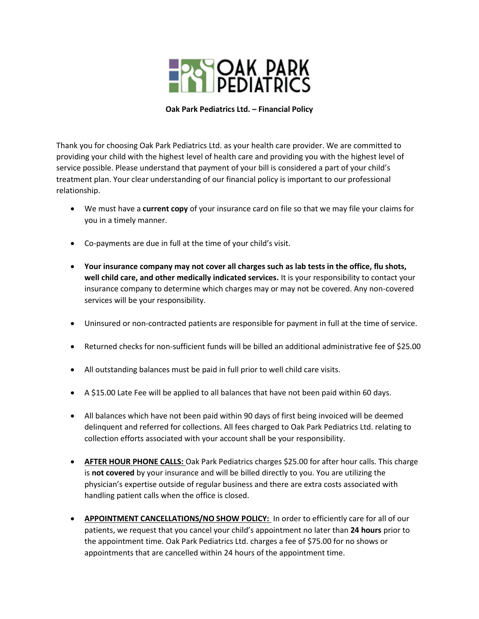

**Oak Park Pediatrics Ltd. – Financial Policy** 

Thank you for choosing Oak Park Pediatrics Ltd. as your health care provider. We are committed to providing your child with the highest level of health care and providing you with the highest level of service possible. Please understand that payment of your bill is considered a part of your child's treatment plan. Your clear understanding of our financial policy is important to our professional relationship.

- We must have a **current copy** of your insurance card on file so that we may file your claims for you in a timely manner.
- Co-payments are due in full at the time of your child's visit.
- **Your insurance company may not cover all charges such as lab tests in the office, flu shots, well child care, and other medically indicated services.** It is your responsibility to contact your insurance company to determine which charges may or may not be covered. Any non-covered services will be your responsibility.
- Uninsured or non-contracted patients are responsible for payment in full at the time of service.
- Returned checks for non-sufficient funds will be billed an additional administrative fee of \$25.00
- All outstanding balances must be paid in full prior to well child care visits.
- A \$15.00 Late Fee will be applied to all balances that have not been paid within 60 days.
- All balances which have not been paid within 90 days of first being invoiced will be deemed delinquent and referred for collections. All fees charged to Oak Park Pediatrics Ltd. relating to collection efforts associated with your account shall be your responsibility.
- **AFTER HOUR PHONE CALLS:** Oak Park Pediatrics charges \$25.00 for after hour calls. This charge is **not covered** by your insurance and will be billed directly to you. You are utilizing the physician's expertise outside of regular business and there are extra costs associated with handling patient calls when the office is closed.
- **APPOINTMENT CANCELLATIONS/NO SHOW POLICY:** In order to efficiently care for all of our patients, we request that you cancel your child's appointment no later than **24 hours** prior to the appointment time. Oak Park Pediatrics Ltd. charges a fee of \$75.00 for no shows or appointments that are cancelled within 24 hours of the appointment time.